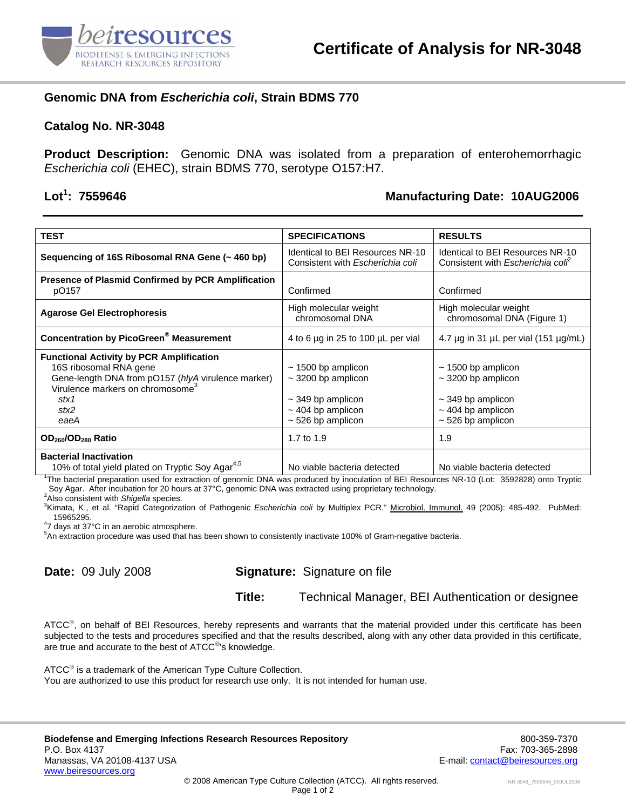

# **Genomic DNA from** *Escherichia coli***, Strain BDMS 770**

#### **Catalog No. NR-3048**

**Product Description:** Genomic DNA was isolated from a preparation of enterohemorrhagic *Escherichia coli* (EHEC), strain BDMS 770, serotype O157:H7.

# Lot<sup>1</sup>: 7559646

#### **: 7559646 Manufacturing Date: 10AUG2006**

| <b>TEST</b>                                                                                                                                                                                                                                           | <b>SPECIFICATIONS</b>                                                                                                                          | <b>RESULTS</b>                                                                                                                          |
|-------------------------------------------------------------------------------------------------------------------------------------------------------------------------------------------------------------------------------------------------------|------------------------------------------------------------------------------------------------------------------------------------------------|-----------------------------------------------------------------------------------------------------------------------------------------|
| Sequencing of 16S Ribosomal RNA Gene (~ 460 bp)                                                                                                                                                                                                       | Identical to BEI Resources NR-10<br>Consistent with Escherichia coli                                                                           | Identical to BEI Resources NR-10<br>Consistent with Escherichia colf                                                                    |
| Presence of Plasmid Confirmed by PCR Amplification<br>pO157                                                                                                                                                                                           | Confirmed                                                                                                                                      | Confirmed                                                                                                                               |
| <b>Agarose Gel Electrophoresis</b>                                                                                                                                                                                                                    | High molecular weight<br>chromosomal DNA                                                                                                       | High molecular weight<br>chromosomal DNA (Figure 1)                                                                                     |
| <b>Concentration by PicoGreen<sup>®</sup> Measurement</b>                                                                                                                                                                                             | 4 to 6 µg in 25 to 100 µL per vial                                                                                                             | 4.7 $\mu$ g in 31 $\mu$ L per vial (151 $\mu$ g/mL)                                                                                     |
| <b>Functional Activity by PCR Amplification</b><br>16S ribosomal RNA gene<br>Gene-length DNA from pO157 (hlyA virulence marker)<br>Virulence markers on chromosome <sup>3</sup><br>stx1<br>stx2<br>eaeA<br>OD <sub>260</sub> /OD <sub>280</sub> Ratio | $\sim$ 1500 bp amplicon<br>$\sim$ 3200 bp amplicon<br>$\sim$ 349 bp amplicon<br>$\sim$ 404 bp amplicon<br>$\sim$ 526 bp amplicon<br>1.7 to 1.9 | $\sim$ 1500 bp amplicon<br>$\sim$ 3200 bp amplicon<br>$\sim$ 349 bp amplicon<br>$\sim$ 404 bp amplicon<br>$\sim$ 526 bp amplicon<br>1.9 |
| <b>Bacterial Inactivation</b><br>10% of total yield plated on Tryptic Soy Agar <sup>4,5</sup><br>The bacterial preparation used for extraction of genomic DNA was produced by inoculation of BEI Resources NR-10 (Lot: 3592828) onto Tryptic          | No viable bacteria detected                                                                                                                    | No viable bacteria detected                                                                                                             |

Soy Agar. After incubation for 20 hours at 37°C, genomic DNA was extracted using proprietary technology.

<sup>2</sup>Also consistent with *Shigella* species.

<sup>3</sup>Kimata, K., et al. "Rapid Categorization of Pathogenic *Escherichia coli* by Multiplex PCR." Microbiol. Immunol. 49 (2005): 485-492. PubMed: 15965295. 4 7 days at 37°C in an aerobic atmosphere.

5 An extraction procedure was used that has been shown to consistently inactivate 100% of Gram-negative bacteria.

## **Date:** 09 July 2008 **Signature:** Signature on file

**Title:** Technical Manager, BEI Authentication or designee

ATCC<sup>®</sup>, on behalf of BEI Resources, hereby represents and warrants that the material provided under this certificate has been subjected to the tests and procedures specified and that the results described, along with any other data provided in this certificate, are true and accurate to the best of ATCC®'s knowledge.

ATCC<sup>®</sup> is a trademark of the American Type Culture Collection. You are authorized to use this product for research use only. It is not intended for human use.